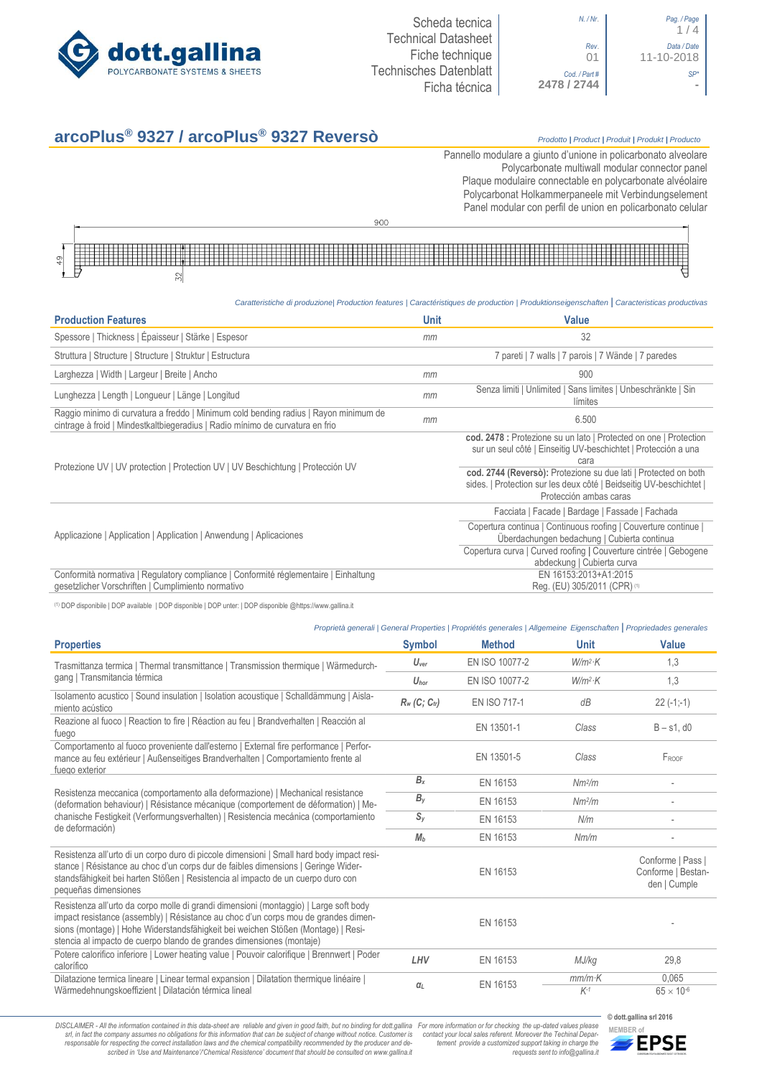

| N. / Nr.                                        | Pag. / Page<br>1/4        |
|-------------------------------------------------|---------------------------|
| Rev.<br>01                                      | Data / Date<br>11-10-2018 |
| $\frac{\text{Cod.}/\text{Part\#}}{2478 / 2744}$ |                           |

| Pag. / Page<br>1/4        |
|---------------------------|
| Data / Date<br>11-10-2018 |
|                           |
|                           |

## **arcoPlus® 9327 / arcoPlus® 9327 Reversò** *Prodotto <sup>|</sup> Product <sup>|</sup> Produit <sup>|</sup> Produkt <sup>|</sup> Producto*

Pannello modulare a giunto d'unione in policarbonato alveolare Polycarbonate multiwall modular connector panel Plaque modulaire connectable en polycarbonate alvéolaire Polycarbonat Holkammerpaneele mit Verbindungselement Panel [modular con perfil de union en](http://www.google.it/url?sa=t&rct=j&q=&esrc=s&source=web&cd=6&ved=0ahUKEwiPyOW6w_3PAhXLORoKHXbkAhUQFggtMAU&url=http%3A%2F%2Fwww.getsl.com%2Fes%2Fmateriales-construccion%2Fsabic-policarbonato%2Fplaca-solida%2Flexan-exell-d-placa-translucida%2F&usg=AFQjCNF4aMpg9CRcF79iWWH-XBKKMH3eWA&bvm=bv.136811127,d.bGs) policarbonato celular



*Caratteristiche di produzione| Production features | Caractéristiques de production | Produktionseigenschaften* **|** *Caracteristicas productivas*

| <b>Production Features</b>                                                                                                                                            | <b>Unit</b> | <b>Value</b>                                                                                                                                                     |
|-----------------------------------------------------------------------------------------------------------------------------------------------------------------------|-------------|------------------------------------------------------------------------------------------------------------------------------------------------------------------|
| Spessore   Thickness   Épaisseur   Stärke   Espesor                                                                                                                   | mm          | 32                                                                                                                                                               |
| Struttura   Structure   Structure   Struktur   Estructura                                                                                                             |             | 7 pareti   7 walls   7 parois   7 Wände   7 paredes                                                                                                              |
| Larghezza   Width   Largeur   Breite   Ancho                                                                                                                          | mm          | 900                                                                                                                                                              |
| Lunghezza   Length   Longueur   Länge   Longitud                                                                                                                      | mm          | Senza limiti   Unlimited   Sans limites   Unbeschränkte   Sin<br>límites                                                                                         |
| Raggio minimo di curvatura a freddo   Minimum cold bending radius   Rayon minimum de<br>cintrage à froid   Mindestkaltbiegeradius   Radio mínimo de curvatura en frio | mm          | 6.500                                                                                                                                                            |
| Protezione UV   UV protection   Protection UV   UV Beschichtung   Protección UV                                                                                       |             | cod. 2478 : Protezione su un lato   Protected on one   Protection<br>sur un seul côté   Einseitig UV-beschichtet   Protección a una<br>cara                      |
|                                                                                                                                                                       |             | cod. 2744 (Reversò): Protezione su due lati   Protected on both<br>sides.   Protection sur les deux côté   Beidseitig UV-beschichtet  <br>Protección ambas caras |
|                                                                                                                                                                       |             | Facciata   Facade   Bardage   Fassade   Fachada                                                                                                                  |
| Applicazione   Application   Application   Anwendung   Aplicaciones                                                                                                   |             | Copertura continua   Continuous roofing   Couverture continue  <br>Überdachungen bedachung   Cubierta continua                                                   |
|                                                                                                                                                                       |             | Copertura curva   Curved roofing   Couverture cintrée   Gebogene<br>abdeckung   Cubierta curva                                                                   |
| Conformità normativa   Regulatory compliance   Conformité réglementaire   Einhaltung<br>gesetzlicher Vorschriften   Cumplimiento normativo                            |             | EN 16153:2013+A1:2015<br>Reg. (EU) 305/2011 (CPR) (1)                                                                                                            |

(1) DOP disponibile | DOP available | DOP disponible | DOP unter: | DOP disponible @https://www.gallina.it

| Proprietà generali   General Properties   Propriétés generales   Allgemeine Eigenschaften   Propriedades generales                                                                                                                                                                                                                      |                  |                     |                    |                                                         |
|-----------------------------------------------------------------------------------------------------------------------------------------------------------------------------------------------------------------------------------------------------------------------------------------------------------------------------------------|------------------|---------------------|--------------------|---------------------------------------------------------|
| <b>Properties</b>                                                                                                                                                                                                                                                                                                                       | <b>Symbol</b>    | <b>Method</b>       | <b>Unit</b>        | <b>Value</b>                                            |
| Trasmittanza termica   Thermal transmittance   Transmission thermique   Wärmedurch-                                                                                                                                                                                                                                                     | $U_{\text{ver}}$ | EN ISO 10077-2      | $W/m^2$ K          | 1,3                                                     |
| gang   Transmitancia térmica                                                                                                                                                                                                                                                                                                            | $U_{\text{hor}}$ | EN ISO 10077-2      | $W/m^2$ K          | 1,3                                                     |
| Isolamento acustico   Sound insulation   Isolation acoustique   Schalldämmung   Aisla-<br>miento acústico                                                                                                                                                                                                                               | $R_w$ (C; Ctr)   | <b>EN ISO 717-1</b> | dB                 | $22(-1,-1)$                                             |
| Reazione al fuoco   Reaction to fire   Réaction au feu   Brandverhalten   Reacción al<br>fuego                                                                                                                                                                                                                                          |                  | EN 13501-1          | Class              | $B - s1$ , d $0$                                        |
| Comportamento al fuoco proveniente dall'esterno   External fire performance   Perfor-<br>mance au feu extérieur   Außenseitiges Brandverhalten   Comportamiento frente al<br>fuego exterior                                                                                                                                             |                  | EN 13501-5          | Class              | FROOF                                                   |
|                                                                                                                                                                                                                                                                                                                                         | $B_{x}$          | EN 16153            | Nm <sup>2</sup> /m |                                                         |
| Resistenza meccanica (comportamento alla deformazione)   Mechanical resistance<br>(deformation behaviour)   Résistance mécanique (comportement de déformation)   Me-<br>chanische Festigkeit (Verformungsverhalten)   Resistencia mecánica (comportamiento                                                                              | $B_y$            | EN 16153            | Nm <sup>2</sup> /m |                                                         |
|                                                                                                                                                                                                                                                                                                                                         | $S_{V}$          | EN 16153            | N/m                |                                                         |
| de deformación)                                                                                                                                                                                                                                                                                                                         | M <sub>b</sub>   | EN 16153            | Nm/m               |                                                         |
| Resistenza all'urto di un corpo duro di piccole dimensioni   Small hard body impact resi-<br>stance   Résistance au choc d'un corps dur de faibles dimensions   Geringe Wider-<br>standsfähigkeit bei harten Stößen   Resistencia al impacto de un cuerpo duro con<br>pequeñas dimensiones                                              |                  | EN 16153            |                    | Conforme   Pass  <br>Conforme   Bestan-<br>den   Cumple |
| Resistenza all'urto da corpo molle di grandi dimensioni (montaggio)   Large soft body<br>impact resistance (assembly)   Résistance au choc d'un corps mou de grandes dimen-<br>sions (montage)   Hohe Widerstandsfähigkeit bei weichen Stößen (Montage)   Resi-<br>stencia al impacto de cuerpo blando de grandes dimensiones (montaje) |                  | EN 16153            |                    |                                                         |
| Potere calorifico inferiore   Lower heating value   Pouvoir calorifique   Brennwert   Poder<br>calorífico                                                                                                                                                                                                                               | LHV              | EN 16153            | MJ/kg              | 29.8                                                    |
| Dilatazione termica lineare   Linear termal expansion   Dilatation thermique linéaire  <br>Wärmedehnungskoeffizient   Dilatación térmica lineal                                                                                                                                                                                         | $\alpha_L$       | EN 16153            | $mm/m$ K<br>$K-1$  | 0.065<br>$65 \times 10^{-6}$                            |

DISCLAIMER - All the information contained in this data-sheet are reliable and given in good faith, but no binding for dott.gallina For more information or for checking the up-dated values please<br>-srl, in fact the company -responsable for respecting the correct installation laws and the chemical compatibility recommended by the producer and de-<br>scribed in 'Use and Maintenance'/'Chemical Resistence' document that should be consulted on www.g

*tement provide a customized support taking in charge the requests sent to info@gallina.it*

**© dott.gallina srl 2016**

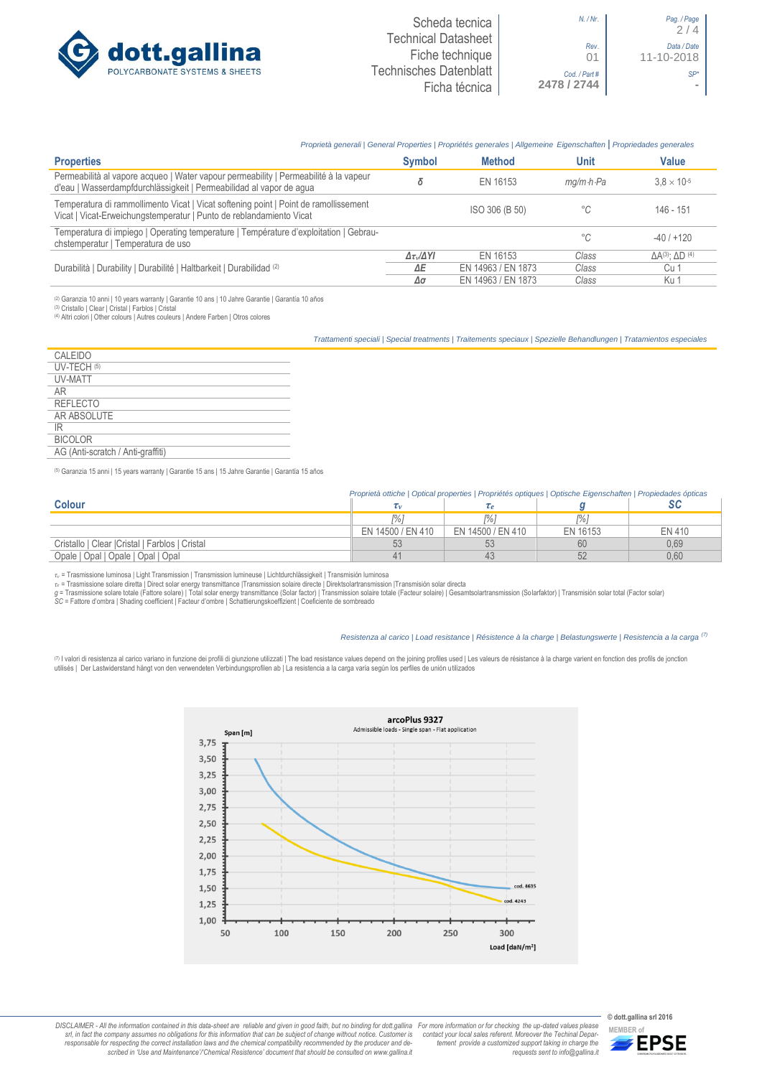

## *Proprietà generali | General Properties | Propriétés generales | Allgemeine Eigenschaften* **|** *Propriedades generales*

| <b>Properties</b>                                                                                                                                           | <b>Symbol</b>              | <b>Method</b>      | Unit                    | Value                               |
|-------------------------------------------------------------------------------------------------------------------------------------------------------------|----------------------------|--------------------|-------------------------|-------------------------------------|
| Permeabilità al vapore acqueo   Water vapour permeability   Permeabilité à la vapeur<br>d'eau   Wasserdampfdurchlässigkeit   Permeabilidad al vapor de agua |                            | EN 16153           | $ma/m \cdot h \cdot Pa$ | $3.8 \times 10^{-5}$                |
| Temperatura di rammollimento Vicat   Vicat softening point   Point de ramollissement<br>Vicat   Vicat-Erweichungstemperatur   Punto de reblandamiento Vicat |                            | ISO 306 (B 50)     | °C                      | 146 - 151                           |
| Temperatura di impiego   Operating temperature   Température d'exploitation   Gebrau-<br>chstemperatur   Temperatura de uso                                 |                            |                    | °C                      | $-40/+120$                          |
|                                                                                                                                                             | $\Delta \tau_v/\Delta Y I$ | EN 16153           | Class                   | $\Delta A^{(3)}$ : $\Delta D^{(4)}$ |
| Durabilità   Durability   Durabilité   Haltbarkeit   Durabilidad (2)                                                                                        | ΔΕ                         | EN 14963 / EN 1873 | Class                   | Cu 1                                |
|                                                                                                                                                             | Δσ                         | EN 14963 / EN 1873 | Class                   | Ku 1                                |

(2) Garanzia 10 anni | 10 years warranty | Garantie 10 ans | 10 Jahre Garantie | Garantía 10 años

(3) Cristallo | Clear | Cristal | Farblos | Cristal (4) Altri colori | Other colours | Autres couleurs | Andere Farben | Otros colores

*Trattamenti speciali | Special treatments | Traitements speciaux | Spezielle Behandlungen | Tratamientos especiales*

| CALEIDO                           |
|-----------------------------------|
| UV-TECH (5)                       |
| UV-MATT                           |
| AR                                |
| <b>REFLECTO</b>                   |
| AR ABSOLUTE                       |
| IR                                |
| <b>BICOLOR</b>                    |
| AG (Anti-scratch / Anti-graffiti) |
|                                   |

(5) Garanzia 15 anni | 15 years warranty | Garantie 15 ans | 15 Jahre Garantie | Garantía 15 años

|                                                 | Proprietà ottiche   Optical properties   Propriétés optiques   Optische Eigenschaften   Propiedades ópticas |                   |          |        |
|-------------------------------------------------|-------------------------------------------------------------------------------------------------------------|-------------------|----------|--------|
| <b>Colour</b>                                   |                                                                                                             |                   |          |        |
|                                                 |                                                                                                             |                   | $P_0$    |        |
|                                                 | EN 14500 / EN 410                                                                                           | EN 14500 / EN 410 | EN 16153 | EN 410 |
| Cristallo   Clear   Cristal   Farblos   Cristal |                                                                                                             |                   | 60       | 0.69   |
| Opale   Opal   Opale   Opal   Opal              |                                                                                                             |                   |          | 0.60   |

*τ<sup>v</sup>* = Trasmissione luminosa | Light Transmission | Transmission lumineuse | Lichtdurchlässigkeit | Transmisión luminosa

r∝ = Trasmissione solare diretta | Direct solar energy transmittance |Transmission solaire directe | Direktsolartransmission |Transmisión solar directa<br>g = Trasmissione solare totale (Fattore solare) | Total solar energy

## *Resistenza al carico | Load resistance | Résistence à la charge | Belastungswerte | Resistencia a la carga (7)*

(⊓ I valori di resistenza al carico variano in funzione dei profili di giunzione utilizzati | The load resistance values depend on the joining profiles used | Les valeurs de résistance à la charge varient en fonction des



DISCLAIMER - All the information contained in this data-sheet are reliable and given in good faith, but no binding for dott.gallina For more information or for checking the up-dated values please<br>-srl, in fact the company -responsable for respecting the correct installation laws and the chemical compatibility recommended by the producer and de-<br>scribed in 'Use and Maintenance'/'Chemical Resistence' document that should be consulted on www.g *tement provide a customized support taking in charge the requests sent to info@gallina.it*

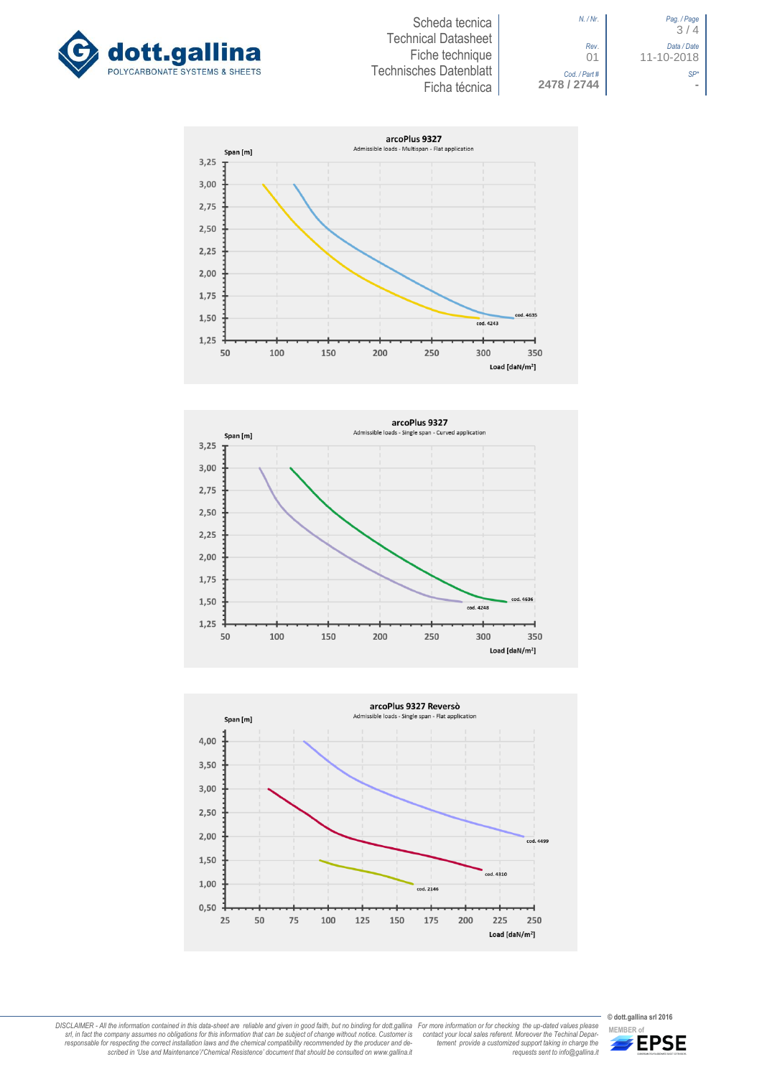



*N. / Nr*. *Pag. / Page* 3 / 4 *Rev*. *Data / Date* 01 11-10-2018 *Cod. / Part # SP\**









For more information or for checking the up-dated values please<br>contact your local sales referent. Moreover the Technial Depar-<br>tement provide a customized support taking in charge the<br>requests sent to info@gallina.it

DISCLAIMER - All the information contained in this data-sheet are reliable and given in good faith, but no binding for dott.gallina<br>srl, in fact the company assumes no obligations for this information that can be subject o